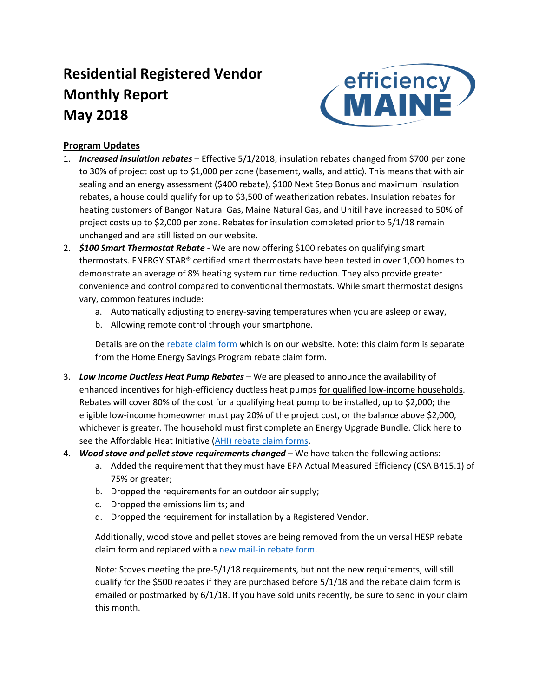# **Residential Registered Vendor Monthly Report May 2018**



## **Program Updates**

- 1. *Increased insulation rebates* Effective 5/1/2018, insulation rebates changed from \$700 per zone to 30% of project cost up to \$1,000 per zone (basement, walls, and attic). This means that with air sealing and an energy assessment (\$400 rebate), \$100 Next Step Bonus and maximum insulation rebates, a house could qualify for up to \$3,500 of weatherization rebates. Insulation rebates for heating customers of Bangor Natural Gas, Maine Natural Gas, and Unitil have increased to 50% of project costs up to \$2,000 per zone. Rebates for insulation completed prior to 5/1/18 remain unchanged and are still listed on our website.
- 2. *\$100 Smart Thermostat Rebate* We are now offering \$100 rebates on qualifying smart thermostats. ENERGY STAR® certified smart thermostats have been tested in over 1,000 homes to demonstrate an average of 8% heating system run time reduction. They also provide greater convenience and control compared to conventional thermostats. While smart thermostat designs vary, common features include:
	- a. Automatically adjusting to energy-saving temperatures when you are asleep or away,
	- b. Allowing remote control through your smartphone.

Details are on th[e rebate claim form](https://www.efficiencymaine.com/docs/EM-Smart-Thermostat-Rebate.pdf#page=2) which is on our website. Note: this claim form is separate from the Home Energy Savings Program rebate claim form.

- 3. *Low Income Ductless Heat Pump Rebates* We are pleased to announce the availability of enhanced incentives for high-efficiency ductless heat pumps for qualified low-income households. Rebates will cover 80% of the cost for a qualifying heat pump to be installed, up to \$2,000; the eligible low-income homeowner must pay 20% of the project cost, or the balance above \$2,000, whichever is greater. The household must first complete an Energy Upgrade Bundle. Click here to see the Affordable Heat Initiative (AHI) [rebate claim forms](https://www.efficiencymaine.com/docs/AHI-Claim-Form.pdf).
- 4. *Wood stove and pellet stove requirements changed* We have taken the following actions:
	- a. Added the requirement that they must have EPA Actual Measured Efficiency (CSA B415.1) of 75% or greater;
	- b. Dropped the requirements for an outdoor air supply;
	- c. Dropped the emissions limits; and
	- d. Dropped the requirement for installation by a Registered Vendor.

Additionally, wood stove and pellet stoves are being removed from the universal HESP rebate claim form and replaced with a [new mail-in rebate form.](https://www.efficiencymaine.com/docs/EM-Pellet-and-Wood-Stove-Rebate.pdf)

Note: Stoves meeting the pre-5/1/18 requirements, but not the new requirements, will still qualify for the \$500 rebates if they are purchased before 5/1/18 and the rebate claim form is emailed or postmarked by 6/1/18. If you have sold units recently, be sure to send in your claim this month.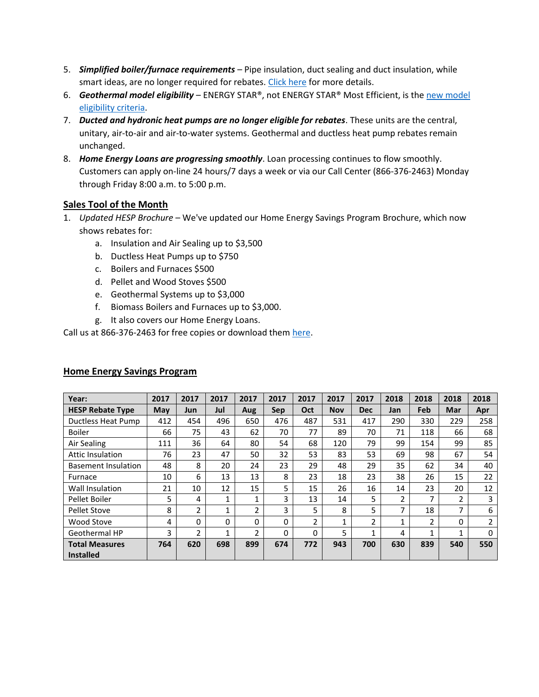- 5. *Simplified boiler/furnace requirements* Pipe insulation, duct sealing and duct insulation, while smart ideas, are no longer required for rebates. [Click here](https://www.efficiencymaine.com/at-home/boilers-and-furnaces/) for more details.
- 6. *Geothermal model eligibility* ENERGY STAR®, not ENERGY STAR® Most Efficient, is the [new model](https://www.efficiencymaine.com/at-home/geothermal/)  [eligibility criteria.](https://www.efficiencymaine.com/at-home/geothermal/)
- 7. *Ducted and hydronic heat pumps are no longer eligible for rebates*. These units are the central, unitary, air-to-air and air-to-water systems. Geothermal and ductless heat pump rebates remain unchanged.
- 8. *Home Energy Loans are progressing smoothly*. Loan processing continues to flow smoothly. Customers can apply on-line 24 hours/7 days a week or via our Call Center (866-376-2463) Monday through Friday 8:00 a.m. to 5:00 p.m.

#### **Sales Tool of the Month**

- 1. *Updated HESP Brochure* We've updated our Home Energy Savings Program Brochure, which now shows rebates for:
	- a. Insulation and Air Sealing up to \$3,500
	- b. Ductless Heat Pumps up to \$750
	- c. Boilers and Furnaces \$500
	- d. Pellet and Wood Stoves \$500
	- e. Geothermal Systems up to \$3,000
	- f. Biomass Boilers and Furnaces up to \$3,000.
	- g. It also covers our Home Energy Loans.

Call us at 866-376-2463 for free copies or download them [here.](https://www.efficiencymaine.com/docs/EM-HESP-Brochure.pdf)

| Year:                                     | 2017       | 2017           | 2017 | 2017           | 2017 | 2017           | 2017       | 2017           | 2018 | 2018 | 2018           | 2018     |
|-------------------------------------------|------------|----------------|------|----------------|------|----------------|------------|----------------|------|------|----------------|----------|
| <b>HESP Rebate Type</b>                   | <b>May</b> | Jun            | Jul  | Aug            | Sep  | Oct            | <b>Nov</b> | <b>Dec</b>     | Jan  | Feb  | Mar            | Apr      |
| Ductless Heat Pump                        | 412        | 454            | 496  | 650            | 476  | 487            | 531        | 417            | 290  | 330  | 229            | 258      |
| <b>Boiler</b>                             | 66         | 75             | 43   | 62             | 70   | 77             | 89         | 70             | 71   | 118  | 66             | 68       |
| Air Sealing                               | 111        | 36             | 64   | 80             | 54   | 68             | 120        | 79             | 99   | 154  | 99             | 85       |
| <b>Attic Insulation</b>                   | 76         | 23             | 47   | 50             | 32   | 53             | 83         | 53             | 69   | 98   | 67             | 54       |
| <b>Basement Insulation</b>                | 48         | 8              | 20   | 24             | 23   | 29             | 48         | 29             | 35   | 62   | 34             | 40       |
| Furnace                                   | 10         | 6              | 13   | 13             | 8    | 23             | 18         | 23             | 38   | 26   | 15             | 22       |
| Wall Insulation                           | 21         | 10             | 12   | 15             | 5    | 15             | 26         | 16             | 14   | 23   | 20             | 12       |
| Pellet Boiler                             | 5          | 4              | 1    | 1              | 3    | 13             | 14         | 5.             | 2    | 7    | $\mathfrak{p}$ | 3        |
| <b>Pellet Stove</b>                       | 8          | $\overline{2}$ | 1    | $\overline{2}$ | 3    | 5              | 8          | 5              | 7    | 18   | 7              | 6        |
| Wood Stove                                | 4          | 0              | 0    | 0              | 0    | $\overline{2}$ | 1          | $\overline{2}$ | 1    | 2    | 0              | 2        |
| Geothermal HP                             | 3          | $\mathfrak{p}$ | 1    | $\mathfrak{p}$ | 0    | 0              | 5          | 1              | 4    | 1    | 1              | $\Omega$ |
| <b>Total Measures</b><br><b>Installed</b> | 764        | 620            | 698  | 899            | 674  | 772            | 943        | 700            | 630  | 839  | 540            | 550      |

#### **Home Energy Savings Program**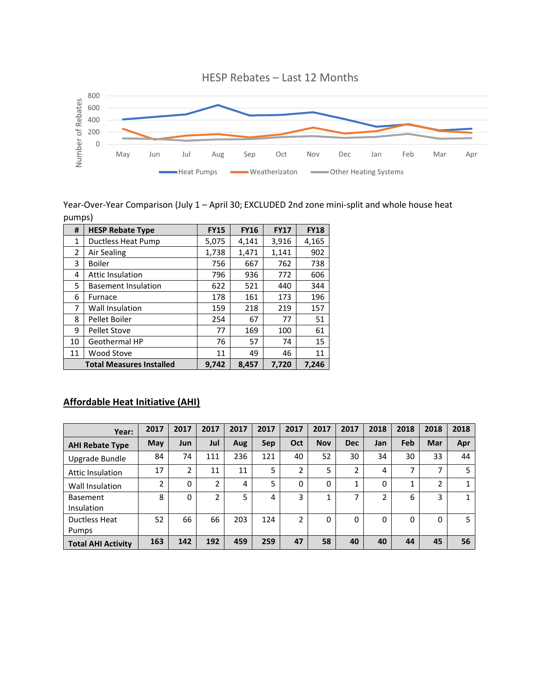

#### Year-Over-Year Comparison (July 1 – April 30; EXCLUDED 2nd zone mini-split and whole house heat pumps)

| #              | <b>HESP Rebate Type</b>         | <b>FY15</b> | <b>FY16</b> | <b>FY17</b> | <b>FY18</b> |
|----------------|---------------------------------|-------------|-------------|-------------|-------------|
| 1              | <b>Ductless Heat Pump</b>       | 5,075       | 4,141       | 3,916       | 4,165       |
| $\overline{2}$ | Air Sealing                     | 1,738       | 1,471       | 1,141       | 902         |
| 3              | <b>Boiler</b>                   | 756         | 667         | 762         | 738         |
| 4              | <b>Attic Insulation</b>         | 796         | 936         | 772         | 606         |
| 5              | <b>Basement Insulation</b>      | 622         | 521         | 440         | 344         |
| 6              | Furnace                         | 178         | 161         | 173         | 196         |
| 7              | Wall Insulation                 | 159         | 218         | 219         | 157         |
| 8              | Pellet Boiler                   | 254         | 67          | 77          | 51          |
| 9              | <b>Pellet Stove</b>             | 77          | 169         | 100         | 61          |
| 10             | Geothermal HP                   | 76          | 57          | 74          | 15          |
| 11             | <b>Wood Stove</b>               | 11          | 49          | 46          | 11          |
|                | <b>Total Measures Installed</b> | 9.742       | 8,457       | 7,720       | 7.246       |

## **Affordable Heat Initiative (AHI)**

| Year:                     | 2017 | 2017     | 2017 | 2017 | 2017 | 2017           | 2017        | 2017                 | 2018 | 2018 | 2018                     | 2018 |
|---------------------------|------|----------|------|------|------|----------------|-------------|----------------------|------|------|--------------------------|------|
| <b>AHI Rebate Type</b>    | May  | Jun      | Jul  | Aug  | Sep  | Oct            | <b>Nov</b>  | <b>Dec</b>           | Jan  | Feb  | Mar                      | Apr  |
| Upgrade Bundle            | 84   | 74       | 111  | 236  | 121  | 40             | 52          | 30                   | 34   | 30   | 33                       | 44   |
| <b>Attic Insulation</b>   | 17   | 2        | 11   | 11   | 5    | 2              | 5           | ำ                    | 4    | ⇁    | $\overline{\phantom{a}}$ | 5    |
| Wall Insulation           | 2    | 0        | 2    | 4    | 5    | 0              | $\mathbf 0$ | $\blacktriangleleft$ | 0    |      | 2                        |      |
| <b>Basement</b>           | 8    | $\Omega$ | 2    | 5    | 4    | 3              | 1           | ⇁                    | 2    | 6    | 3                        | 1    |
| <b>Insulation</b>         |      |          |      |      |      |                |             |                      |      |      |                          |      |
| Ductless Heat             | 52   | 66       | 66   | 203  | 124  | $\overline{2}$ | 0           | 0                    | 0    | 0    | 0                        | 5    |
| Pumps                     |      |          |      |      |      |                |             |                      |      |      |                          |      |
| <b>Total AHI Activity</b> | 163  | 142      | 192  | 459  | 259  | 47             | 58          | 40                   | 40   | 44   | 45                       | 56   |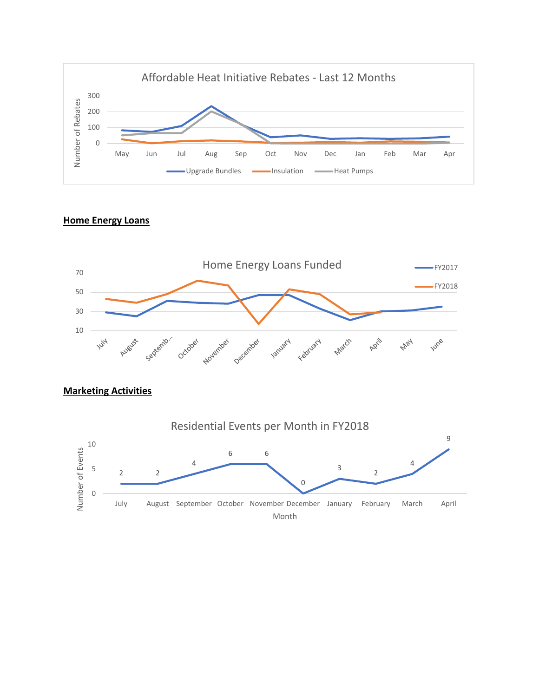

# **Home Energy Loans**



## **Marketing Activities**